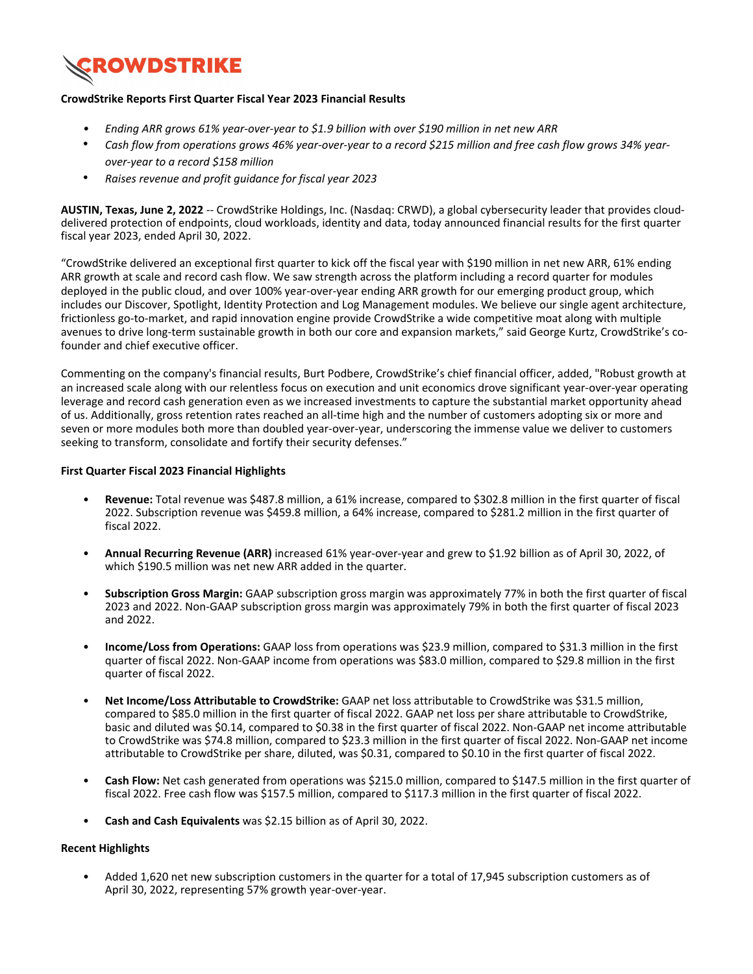

### **CrowdStrike Reports First Quarter Fiscal Year 2023 Financial Results**

- *<i>Ending ARR grows 61% year-over-year to \$1.9 billion with over \$190 million in net new ARR*
- Cash flow from operations grows 46% year-over-year to a record \$215 million and free cash flow grows 34% year*over-year to a record \$158 million*
- Raises revenue and profit quidance for fiscal year 2023

AUSTIN, Texas, June 2, 2022 -- CrowdStrike Holdings, Inc. (Nasdaq: CRWD), a global cybersecurity leader that provides clouddelivered protection of endpoints, cloud workloads, identity and data, today announced financial results for the first quarter fiscal year 2023, ended April 30, 2022.

"CrowdStrike delivered an exceptional first quarter to kick off the fiscal year with \$190 million in net new ARR, 61% ending ARR growth at scale and record cash flow. We saw strength across the platform including a record quarter for modules deployed in the public cloud, and over 100% year-over-year ending ARR growth for our emerging product group, which includes our Discover, Spotlight, Identity Protection and Log Management modules. We believe our single agent architecture, frictionless go-to-market, and rapid innovation engine provide CrowdStrike a wide competitive moat along with multiple avenues to drive long-term sustainable growth in both our core and expansion markets," said George Kurtz, CrowdStrike's cofounder and chief executive officer.

Commenting on the company's financial results, Burt Podbere, CrowdStrike's chief financial officer, added, "Robust growth at an increased scale along with our relentless focus on execution and unit economics drove significant year-over-year operating leverage and record cash generation even as we increased investments to capture the substantial market opportunity ahead of us. Additionally, gross retention rates reached an all-time high and the number of customers adopting six or more and seven or more modules both more than doubled year-over-year, underscoring the immense value we deliver to customers seeking to transform, consolidate and fortify their security defenses."

### **First Quarter Fiscal 2023 Financial Highlights**

- Revenue: Total revenue was \$487.8 million, a 61% increase, compared to \$302.8 million in the first quarter of fiscal 2022. Subscription revenue was \$459.8 million, a 64% increase, compared to \$281.2 million in the first quarter of fiscal 2022.
- Annual Recurring Revenue (ARR) increased 61% year-over-year and grew to \$1.92 billion as of April 30, 2022, of which \$190.5 million was net new ARR added in the quarter.
- **Subscription Gross Margin:** GAAP subscription gross margin was approximately 77% in both the first quarter of fiscal 2023 and 2022. Non-GAAP subscription gross margin was approximately 79% in both the first quarter of fiscal 2023 and 2022.
- **Income/Loss from Operations:** GAAP loss from operations was \$23.9 million, compared to \$31.3 million in the first quarter of fiscal 2022. Non-GAAP income from operations was \$83.0 million, compared to \$29.8 million in the first quarter of fiscal 2022.
- Net Income/Loss Attributable to CrowdStrike: GAAP net loss attributable to CrowdStrike was \$31.5 million, compared to \$85.0 million in the first quarter of fiscal 2022. GAAP net loss per share attributable to CrowdStrike, basic and diluted was \$0.14, compared to \$0.38 in the first quarter of fiscal 2022. Non-GAAP net income attributable to CrowdStrike was \$74.8 million, compared to \$23.3 million in the first quarter of fiscal 2022. Non-GAAP net income attributable to CrowdStrike per share, diluted, was \$0.31, compared to \$0.10 in the first quarter of fiscal 2022.
- **Cash Flow:** Net cash generated from operations was \$215.0 million, compared to \$147.5 million in the first quarter of fiscal 2022. Free cash flow was \$157.5 million, compared to \$117.3 million in the first quarter of fiscal 2022.
- **Cash and Cash Equivalents** was \$2.15 billion as of April 30, 2022.

### **Recent Highlights**

Added 1,620 net new subscription customers in the quarter for a total of 17,945 subscription customers as of April 30, 2022, representing 57% growth year-over-year.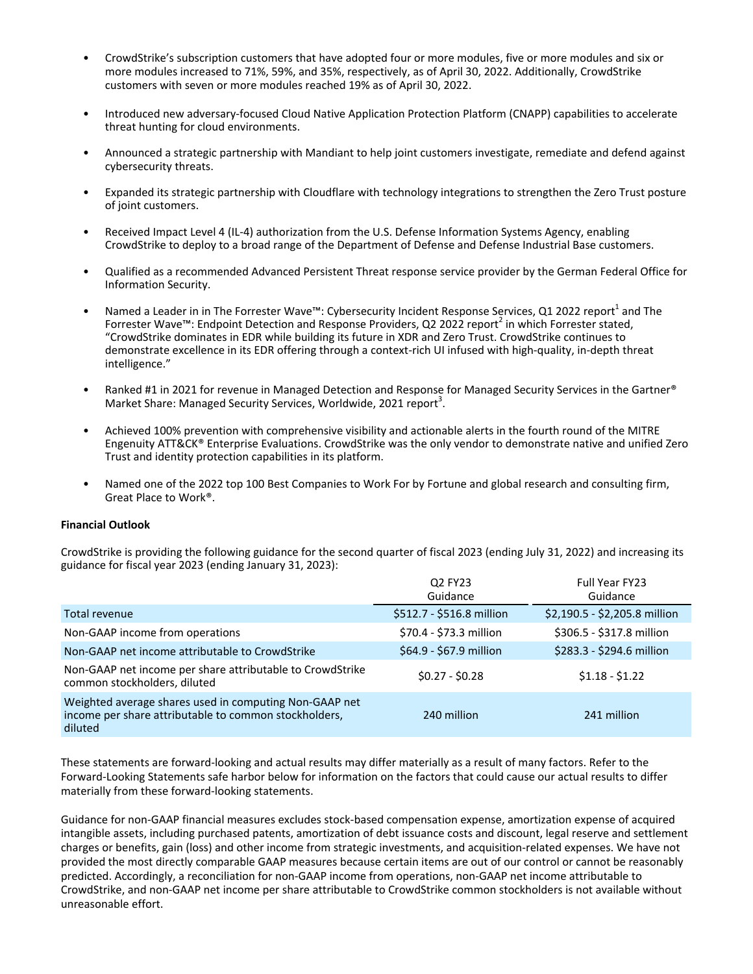- CrowdStrike's subscription customers that have adopted four or more modules, five or more modules and six or more modules increased to 71%, 59%, and 35%, respectively, as of April 30, 2022. Additionally, CrowdStrike customers with seven or more modules reached 19% as of April 30, 2022.
- Introduced new adversary-focused Cloud Native Application Protection Platform (CNAPP) capabilities to accelerate threat hunting for cloud environments.
- Announced a strategic partnership with Mandiant to help joint customers investigate, remediate and defend against cybersecurity threats.
- Expanded its strategic partnership with Cloudflare with technology integrations to strengthen the Zero Trust posture of joint customers.
- Received Impact Level 4 (IL-4) authorization from the U.S. Defense Information Systems Agency, enabling CrowdStrike to deploy to a broad range of the Department of Defense and Defense Industrial Base customers.
- Qualified as a recommended Advanced Persistent Threat response service provider by the German Federal Office for Information Security.
- Named a Leader in in The Forrester Wave<sup>rm</sup>: Cybersecurity Incident Response Services, Q1 2022 report<sup>1</sup> and The Forrester Wave™: Endpoint Detection and Response Providers, Q2 2022 report<sup>2</sup> in which Forrester stated, "CrowdStrike dominates in EDR while building its future in XDR and Zero Trust. CrowdStrike continues to demonstrate excellence in its EDR offering through a context-rich UI infused with high-quality, in-depth threat intelligence."
- Ranked #1 in 2021 for revenue in Managed Detection and Response for Managed Security Services in the Gartner<sup>®</sup> Market Share: Managed Security Services, Worldwide, 2021 report<sup>3</sup>.
- Achieved 100% prevention with comprehensive visibility and actionable alerts in the fourth round of the MITRE Engenuity ATT&CK® Enterprise Evaluations. CrowdStrike was the only vendor to demonstrate native and unified Zero Trust and identity protection capabilities in its platform.
- Named one of the 2022 top 100 Best Companies to Work For by Fortune and global research and consulting firm, Great Place to Work<sup>®</sup>.

### **Financial Outlook**

CrowdStrike is providing the following guidance for the second quarter of fiscal 2023 (ending July 31, 2022) and increasing its guidance for fiscal year 2023 (ending January 31, 2023):

|                                                                                                                            | Q2 FY23<br>Guidance       | Full Year FY23<br>Guidance    |
|----------------------------------------------------------------------------------------------------------------------------|---------------------------|-------------------------------|
| Total revenue                                                                                                              | \$512.7 - \$516.8 million | \$2,190.5 - \$2,205.8 million |
| Non-GAAP income from operations                                                                                            | \$70.4 - \$73.3 million   | \$306.5 - \$317.8 million     |
| Non-GAAP net income attributable to CrowdStrike                                                                            | \$64.9 - \$67.9 million   | \$283.3 - \$294.6 million     |
| Non-GAAP net income per share attributable to CrowdStrike<br>common stockholders, diluted                                  | $$0.27 - $0.28$$          | $$1.18 - $1.22$               |
| Weighted average shares used in computing Non-GAAP net<br>income per share attributable to common stockholders,<br>diluted | 240 million               | 241 million                   |

These statements are forward-looking and actual results may differ materially as a result of many factors. Refer to the Forward-Looking Statements safe harbor below for information on the factors that could cause our actual results to differ materially from these forward-looking statements.

Guidance for non-GAAP financial measures excludes stock-based compensation expense, amortization expense of acquired intangible assets, including purchased patents, amortization of debt issuance costs and discount, legal reserve and settlement charges or benefits, gain (loss) and other income from strategic investments, and acquisition-related expenses. We have not provided the most directly comparable GAAP measures because certain items are out of our control or cannot be reasonably predicted. Accordingly, a reconciliation for non-GAAP income from operations, non-GAAP net income attributable to CrowdStrike, and non-GAAP net income per share attributable to CrowdStrike common stockholders is not available without unreasonable effort.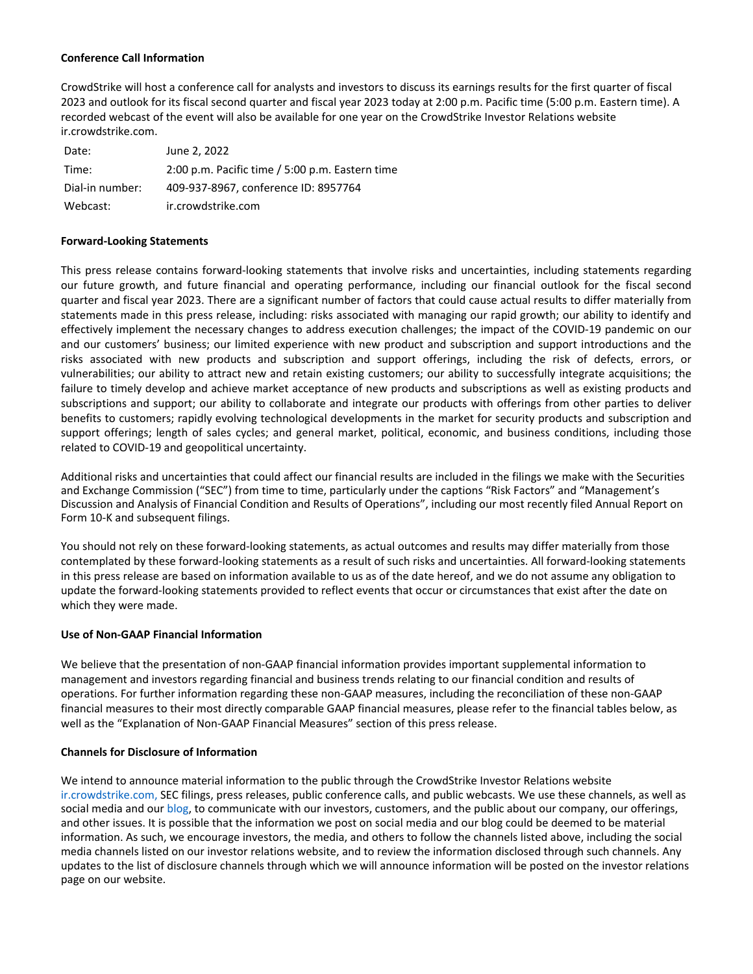### **Conference Call Information**

CrowdStrike will host a conference call for analysts and investors to discuss its earnings results for the first quarter of fiscal 2023 and outlook for its fiscal second quarter and fiscal year 2023 today at 2:00 p.m. Pacific time (5:00 p.m. Eastern time). A recorded webcast of the event will also be available for one year on the CrowdStrike Investor Relations website ir.crowdstrike.com.

| Date:           | June 2, 2022                                    |
|-----------------|-------------------------------------------------|
| Time:           | 2:00 p.m. Pacific time / 5:00 p.m. Eastern time |
| Dial-in number: | 409-937-8967, conference ID: 8957764            |
| Webcast:        | ir.crowdstrike.com                              |

### **Forward-Looking Statements**

This press release contains forward-looking statements that involve risks and uncertainties, including statements regarding our future growth, and future financial and operating performance, including our financial outlook for the fiscal second quarter and fiscal year 2023. There are a significant number of factors that could cause actual results to differ materially from statements made in this press release, including: risks associated with managing our rapid growth; our ability to identify and effectively implement the necessary changes to address execution challenges; the impact of the COVID-19 pandemic on our and our customers' business; our limited experience with new product and subscription and support introductions and the risks associated with new products and subscription and support offerings, including the risk of defects, errors, or vulnerabilities; our ability to attract new and retain existing customers; our ability to successfully integrate acquisitions; the failure to timely develop and achieve market acceptance of new products and subscriptions as well as existing products and subscriptions and support; our ability to collaborate and integrate our products with offerings from other parties to deliver benefits to customers; rapidly evolving technological developments in the market for security products and subscription and support offerings; length of sales cycles; and general market, political, economic, and business conditions, including those related to COVID-19 and geopolitical uncertainty.

Additional risks and uncertainties that could affect our financial results are included in the filings we make with the Securities and Exchange Commission ("SEC") from time to time, particularly under the captions "Risk Factors" and "Management's Discussion and Analysis of Financial Condition and Results of Operations", including our most recently filed Annual Report on Form 10-K and subsequent filings.

You should not rely on these forward-looking statements, as actual outcomes and results may differ materially from those contemplated by these forward-looking statements as a result of such risks and uncertainties. All forward-looking statements in this press release are based on information available to us as of the date hereof, and we do not assume any obligation to update the forward-looking statements provided to reflect events that occur or circumstances that exist after the date on which they were made.

### **Use of Non-GAAP Financial Information**

We believe that the presentation of non-GAAP financial information provides important supplemental information to management and investors regarding financial and business trends relating to our financial condition and results of operations. For further information regarding these non-GAAP measures, including the reconciliation of these non-GAAP financial measures to their most directly comparable GAAP financial measures, please refer to the financial tables below, as well as the "Explanation of Non-GAAP Financial Measures" section of this press release.

### **Channels for Disclosure of Information**

We intend to announce material information to the public through the CrowdStrike Investor Relations website [ir.crowdstrike.com,](ir.crowdstrike.com) SEC filings, press releases, public conference calls, and public webcasts. We use these channels, as well as social media and our [blog](https://www.crowdstrike.com/blog/), to communicate with our investors, customers, and the public about our company, our offerings, and other issues. It is possible that the information we post on social media and our blog could be deemed to be material information. As such, we encourage investors, the media, and others to follow the channels listed above, including the social media channels listed on our investor relations website, and to review the information disclosed through such channels. Any updates to the list of disclosure channels through which we will announce information will be posted on the investor relations page on our website.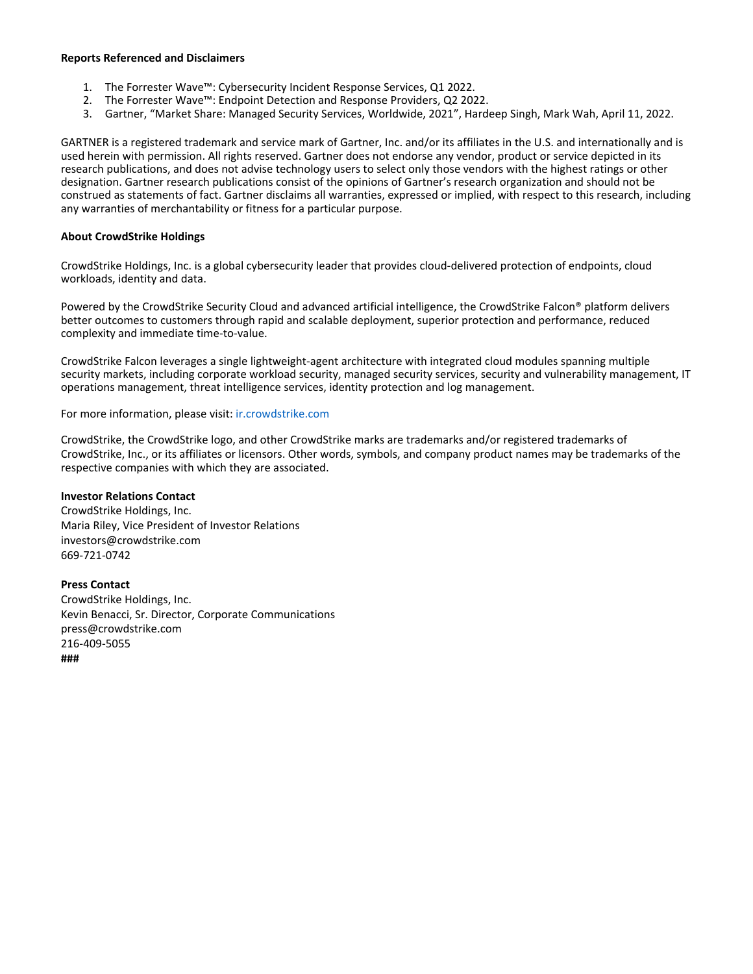### **Reports Referenced and Disclaimers**

- 1. The Forrester Wave™: Cybersecurity Incident Response Services, Q1 2022.
- 2. The Forrester Wave™: Endpoint Detection and Response Providers, Q2 2022.
- 3. Gartner, "Market Share: Managed Security Services, Worldwide, 2021", Hardeep Singh, Mark Wah, April 11, 2022.

GARTNER is a registered trademark and service mark of Gartner, Inc. and/or its affiliates in the U.S. and internationally and is used herein with permission. All rights reserved. Gartner does not endorse any vendor, product or service depicted in its research publications, and does not advise technology users to select only those vendors with the highest ratings or other designation. Gartner research publications consist of the opinions of Gartner's research organization and should not be construed as statements of fact. Gartner disclaims all warranties, expressed or implied, with respect to this research, including any warranties of merchantability or fitness for a particular purpose.

### **About CrowdStrike Holdings**

CrowdStrike Holdings, Inc. is a global cybersecurity leader that provides cloud-delivered protection of endpoints, cloud workloads, identity and data.

Powered by the CrowdStrike Security Cloud and advanced artificial intelligence, the CrowdStrike Falcon® platform delivers better outcomes to customers through rapid and scalable deployment, superior protection and performance, reduced complexity and immediate time-to-value.

CrowdStrike Falcon leverages a single lightweight-agent architecture with integrated cloud modules spanning multiple security markets, including corporate workload security, managed security services, security and vulnerability management, IT operations management, threat intelligence services, identity protection and log management.

For more information, please visit: <ir.crowdstrike.com>

CrowdStrike, the CrowdStrike logo, and other CrowdStrike marks are trademarks and/or registered trademarks of CrowdStrike, Inc., or its affiliates or licensors. Other words, symbols, and company product names may be trademarks of the respective companies with which they are associated.

### **Investor Relations Contact**

CrowdStrike Holdings, Inc. Maria Riley, Vice President of Investor Relations investors@crowdstrike.com 669-721-0742

### **Press Contact**

CrowdStrike Holdings, Inc. Kevin Benacci, Sr. Director, Corporate Communications press@crowdstrike.com 216-409-5055 **###**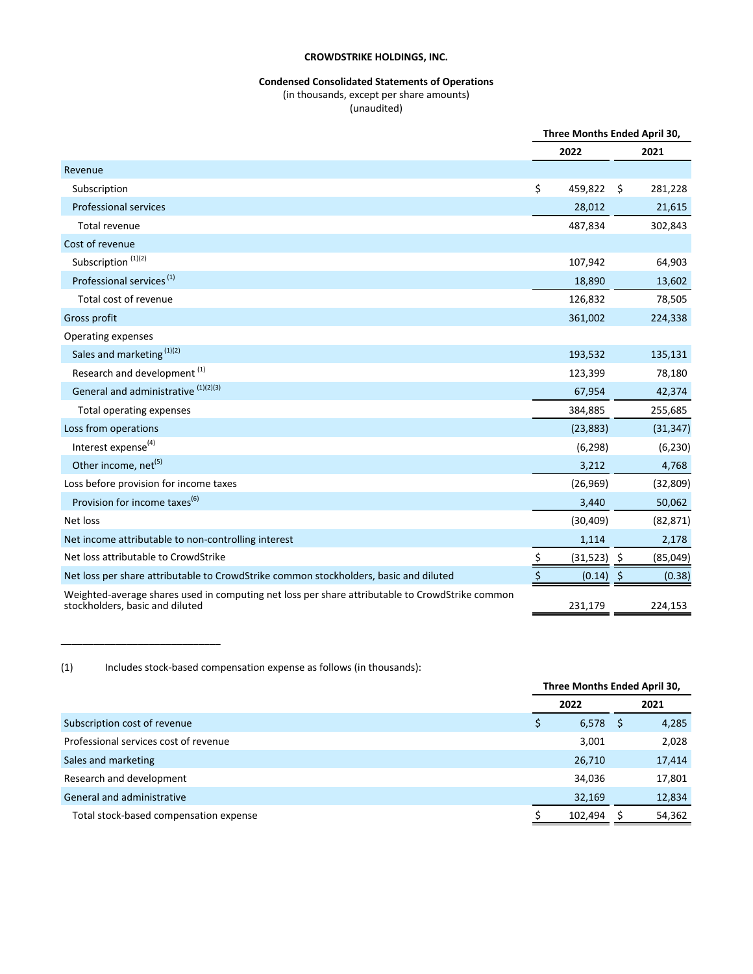### **Condensed Consolidated Statements of Operations**

(in thousands, except per share amounts)

(unaudited)

|                                                                                                                                    | Three Months Ended April 30, |               |     |           |
|------------------------------------------------------------------------------------------------------------------------------------|------------------------------|---------------|-----|-----------|
|                                                                                                                                    |                              | 2022          |     | 2021      |
| Revenue                                                                                                                            |                              |               |     |           |
| Subscription                                                                                                                       | \$                           | 459,822       | Ŝ.  | 281,228   |
| <b>Professional services</b>                                                                                                       |                              | 28,012        |     | 21,615    |
| Total revenue                                                                                                                      |                              | 487,834       |     | 302,843   |
| Cost of revenue                                                                                                                    |                              |               |     |           |
| Subscription <sup>(1)(2)</sup>                                                                                                     |                              | 107,942       |     | 64,903    |
| Professional services <sup>(1)</sup>                                                                                               |                              | 18,890        |     | 13,602    |
| Total cost of revenue                                                                                                              |                              | 126,832       |     | 78,505    |
| Gross profit                                                                                                                       |                              | 361,002       |     | 224,338   |
| Operating expenses                                                                                                                 |                              |               |     |           |
| Sales and marketing (1)(2)                                                                                                         |                              | 193,532       |     | 135,131   |
| Research and development <sup>(1)</sup>                                                                                            |                              | 123,399       |     | 78,180    |
| General and administrative (1)(2)(3)                                                                                               |                              | 67,954        |     | 42,374    |
| Total operating expenses                                                                                                           |                              | 384,885       |     | 255,685   |
| Loss from operations                                                                                                               |                              | (23, 883)     |     | (31, 347) |
| Interest expense <sup>(4)</sup>                                                                                                    |                              | (6, 298)      |     | (6, 230)  |
| Other income, net <sup>(5)</sup>                                                                                                   |                              | 3,212         |     | 4,768     |
| Loss before provision for income taxes                                                                                             |                              | (26,969)      |     | (32, 809) |
| Provision for income taxes <sup>(6)</sup>                                                                                          |                              | 3,440         |     | 50,062    |
| Net loss                                                                                                                           |                              | (30, 409)     |     | (82, 871) |
| Net income attributable to non-controlling interest                                                                                |                              | 1,114         |     | 2,178     |
| Net loss attributable to CrowdStrike                                                                                               | \$                           | $(31,523)$ \$ |     | (85, 049) |
| Net loss per share attributable to CrowdStrike common stockholders, basic and diluted                                              |                              | (0.14)        | -\$ | (0.38)    |
| Weighted-average shares used in computing net loss per share attributable to CrowdStrike common<br>stockholders, basic and diluted |                              | 231,179       |     | 224,153   |

(1) Includes stock-based compensation expense as follows (in thousands):

\_\_\_\_\_\_\_\_\_\_\_\_\_\_\_\_\_\_\_\_\_\_\_\_\_\_\_\_\_

|                                        | Three Months Ended April 30, |         |      |        |
|----------------------------------------|------------------------------|---------|------|--------|
|                                        | 2022                         |         | 2021 |        |
| Subscription cost of revenue           | Ş                            | 6,578   | S    | 4,285  |
| Professional services cost of revenue  |                              | 3,001   |      | 2,028  |
| Sales and marketing                    |                              | 26,710  |      | 17,414 |
| Research and development               |                              | 34,036  |      | 17,801 |
| General and administrative             |                              | 32,169  |      | 12,834 |
| Total stock-based compensation expense |                              | 102,494 |      | 54,362 |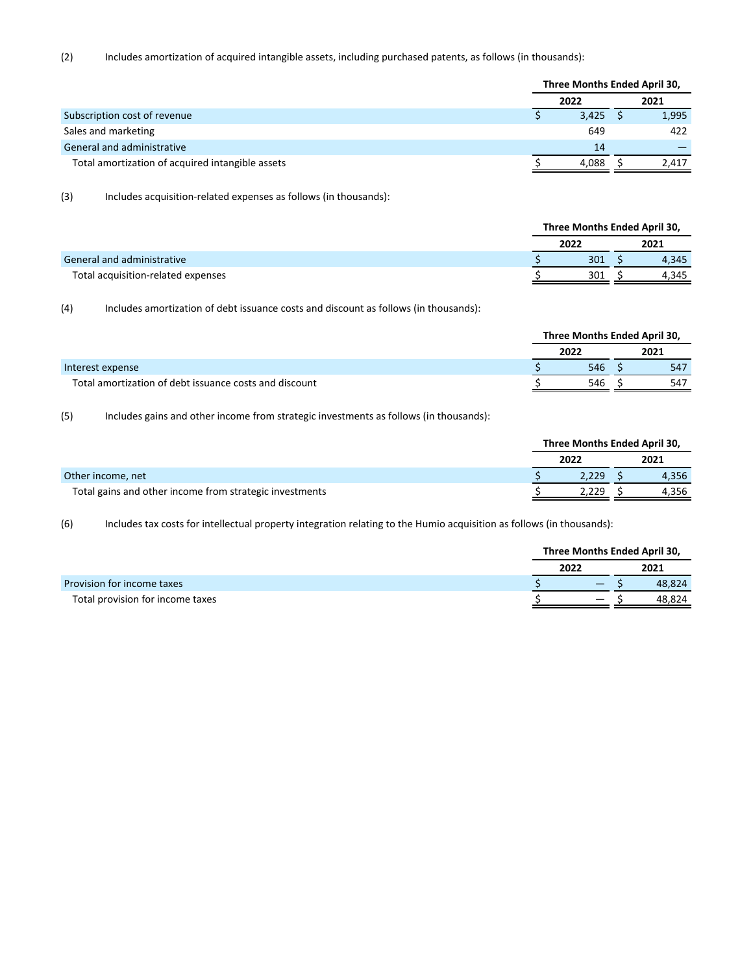(2) Includes amortization of acquired intangible assets, including purchased patents, as follows (in thousands):

|                                                  | Three Months Ended April 30, |       |      |       |  |
|--------------------------------------------------|------------------------------|-------|------|-------|--|
|                                                  | 2022                         |       | 2021 |       |  |
| Subscription cost of revenue                     |                              | 3,425 |      | 1,995 |  |
| Sales and marketing                              |                              | 649   |      | 422   |  |
| General and administrative                       |                              | 14    |      |       |  |
| Total amortization of acquired intangible assets |                              | 4.088 |      | 2.417 |  |

(3) Includes acquisition-related expenses as follows (in thousands):

|                                    | Three Months Ended April 30, |  |       |  |  |  |
|------------------------------------|------------------------------|--|-------|--|--|--|
|                                    | 2022                         |  | 2021  |  |  |  |
| General and administrative         | 301                          |  | 4.345 |  |  |  |
| Total acquisition-related expenses | 301                          |  | 4.345 |  |  |  |
|                                    |                              |  |       |  |  |  |

(4) Includes amortization of debt issuance costs and discount as follows (in thousands):

|                                                        | Three Months Ended April 30, |      |  |      |  |
|--------------------------------------------------------|------------------------------|------|--|------|--|
|                                                        |                              | 2022 |  | 2021 |  |
| Interest expense                                       |                              | 546  |  | 547  |  |
| Total amortization of debt issuance costs and discount |                              | 546  |  | 547  |  |
|                                                        |                              |      |  |      |  |

(5) Includes gains and other income from strategic investments as follows (in thousands):

|                                                         | Three Months Ended April 30, |      |       |  |  |
|---------------------------------------------------------|------------------------------|------|-------|--|--|
|                                                         | 2022                         | 2021 |       |  |  |
| Other income, net                                       | 2.229                        |      | 4,356 |  |  |
| Total gains and other income from strategic investments | .229                         |      | 4.356 |  |  |

(6) Includes tax costs for intellectual property integration relating to the Humio acquisition as follows (in thousands):

|                                  | Three Months Ended April 30, |      |        |  |  |
|----------------------------------|------------------------------|------|--------|--|--|
|                                  | 2022                         | 2021 |        |  |  |
| Provision for income taxes       |                              |      | 48.824 |  |  |
| Total provision for income taxes |                              |      | 48.824 |  |  |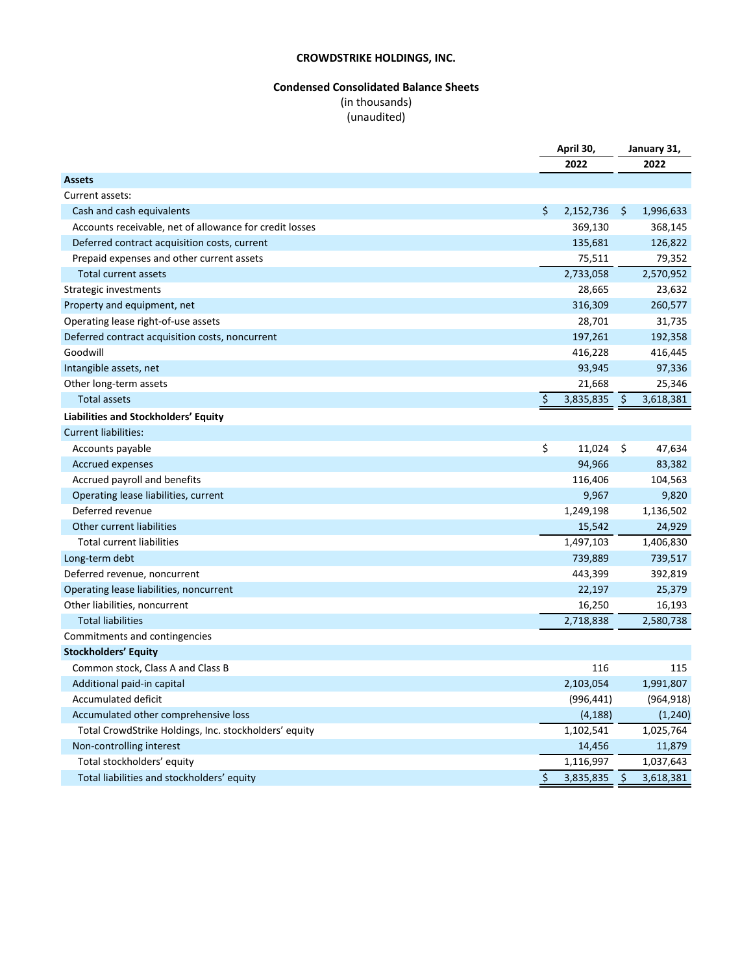# **Condensed Consolidated Balance Sheets** (in thousands) (unaudited)

|                                                         | April 30,   |            | January 31,   |            |
|---------------------------------------------------------|-------------|------------|---------------|------------|
|                                                         |             | 2022       |               | 2022       |
| <b>Assets</b>                                           |             |            |               |            |
| Current assets:                                         |             |            |               |            |
| Cash and cash equivalents                               | \$          | 2,152,736  | \$            | 1,996,633  |
| Accounts receivable, net of allowance for credit losses |             | 369,130    |               | 368,145    |
| Deferred contract acquisition costs, current            |             | 135,681    |               | 126,822    |
| Prepaid expenses and other current assets               |             | 75,511     |               | 79,352     |
| Total current assets                                    |             | 2,733,058  |               | 2,570,952  |
| Strategic investments                                   |             | 28,665     |               | 23,632     |
| Property and equipment, net                             |             | 316,309    |               | 260,577    |
| Operating lease right-of-use assets                     |             | 28,701     |               | 31,735     |
| Deferred contract acquisition costs, noncurrent         |             | 197,261    |               | 192,358    |
| Goodwill                                                |             | 416,228    |               | 416,445    |
| Intangible assets, net                                  |             | 93,945     |               | 97,336     |
| Other long-term assets                                  |             | 21,668     |               | 25,346     |
| <b>Total assets</b>                                     | \$          | 3,835,835  | \$            | 3,618,381  |
| Liabilities and Stockholders' Equity                    |             |            |               |            |
| <b>Current liabilities:</b>                             |             |            |               |            |
| Accounts payable                                        | \$          | 11,024     | \$            | 47,634     |
| Accrued expenses                                        |             | 94,966     |               | 83,382     |
| Accrued payroll and benefits                            |             | 116,406    |               | 104,563    |
| Operating lease liabilities, current                    |             | 9,967      |               | 9,820      |
| Deferred revenue                                        |             | 1,249,198  |               | 1,136,502  |
| Other current liabilities                               |             | 15,542     |               | 24,929     |
| <b>Total current liabilities</b>                        |             | 1,497,103  |               | 1,406,830  |
| Long-term debt                                          |             | 739,889    |               | 739,517    |
| Deferred revenue, noncurrent                            |             | 443,399    |               | 392,819    |
| Operating lease liabilities, noncurrent                 |             | 22,197     |               | 25,379     |
| Other liabilities, noncurrent                           |             | 16,250     |               | 16,193     |
| <b>Total liabilities</b>                                |             | 2,718,838  |               | 2,580,738  |
| Commitments and contingencies                           |             |            |               |            |
| <b>Stockholders' Equity</b>                             |             |            |               |            |
| Common stock, Class A and Class B                       |             | 116        |               | 115        |
| Additional paid-in capital                              |             | 2,103,054  |               | 1,991,807  |
| Accumulated deficit                                     |             | (996, 441) |               | (964, 918) |
| Accumulated other comprehensive loss                    |             | (4, 188)   |               | (1, 240)   |
| Total CrowdStrike Holdings, Inc. stockholders' equity   |             | 1,102,541  |               | 1,025,764  |
| Non-controlling interest                                |             | 14,456     |               | 11,879     |
| Total stockholders' equity                              |             | 1,116,997  |               | 1,037,643  |
| Total liabilities and stockholders' equity              | $\varsigma$ | 3,835,835  | $\ddot{\phi}$ | 3,618,381  |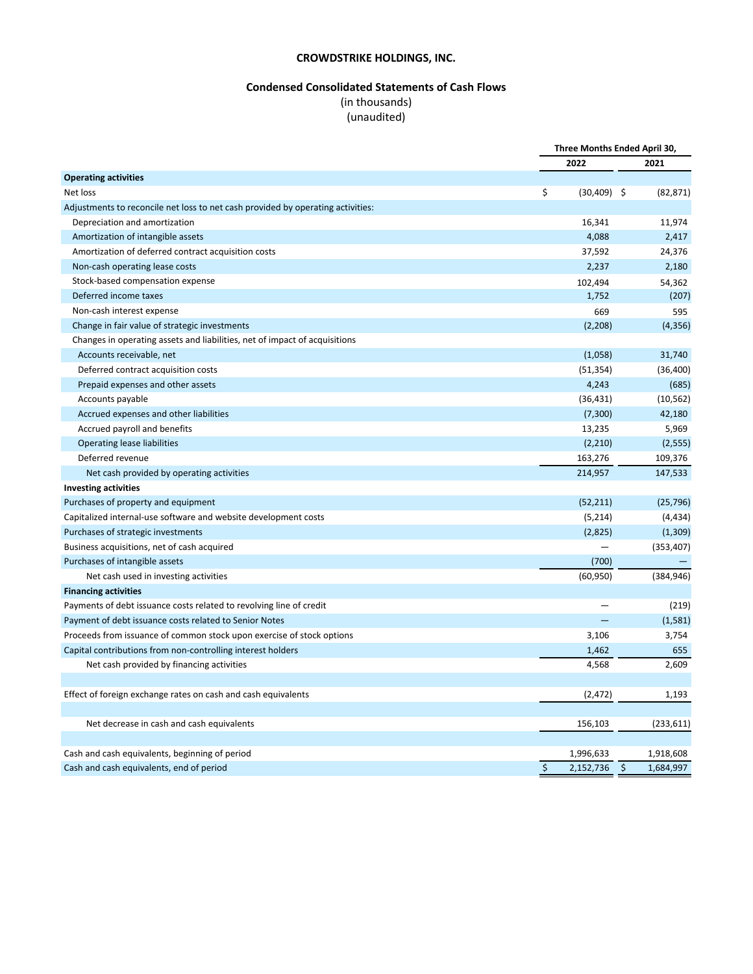# **Condensed Consolidated Statements of Cash Flows**

# (in thousands)

# (unaudited)

|                                                                                 |         | Three Months Ended April 30, |         |            |
|---------------------------------------------------------------------------------|---------|------------------------------|---------|------------|
|                                                                                 |         | 2022                         |         | 2021       |
| <b>Operating activities</b>                                                     |         |                              |         |            |
| Net loss                                                                        | \$      | $(30,409)$ \$                |         | (82, 871)  |
| Adjustments to reconcile net loss to net cash provided by operating activities: |         |                              |         |            |
| Depreciation and amortization                                                   |         | 16,341                       |         | 11,974     |
| Amortization of intangible assets                                               |         | 4,088                        |         | 2,417      |
| Amortization of deferred contract acquisition costs                             |         | 37,592                       |         | 24,376     |
| Non-cash operating lease costs                                                  |         | 2,237                        |         | 2,180      |
| Stock-based compensation expense                                                |         | 102,494                      |         | 54,362     |
| Deferred income taxes                                                           |         | 1,752                        |         | (207)      |
| Non-cash interest expense                                                       |         | 669                          |         | 595        |
| Change in fair value of strategic investments                                   |         | (2,208)                      |         | (4, 356)   |
| Changes in operating assets and liabilities, net of impact of acquisitions      |         |                              |         |            |
| Accounts receivable, net                                                        |         | (1,058)                      |         | 31,740     |
| Deferred contract acquisition costs                                             |         | (51, 354)                    |         | (36, 400)  |
| Prepaid expenses and other assets                                               |         | 4,243                        |         | (685)      |
| Accounts payable                                                                |         | (36, 431)                    |         | (10, 562)  |
| Accrued expenses and other liabilities                                          |         | (7,300)                      |         | 42,180     |
| Accrued payroll and benefits                                                    |         | 13,235                       |         | 5,969      |
| <b>Operating lease liabilities</b>                                              |         | (2,210)                      |         | (2, 555)   |
| Deferred revenue                                                                |         | 163,276                      |         | 109,376    |
| Net cash provided by operating activities                                       |         | 214,957                      |         | 147,533    |
| <b>Investing activities</b>                                                     |         |                              |         |            |
| Purchases of property and equipment                                             |         | (52, 211)                    |         | (25, 796)  |
| Capitalized internal-use software and website development costs                 |         | (5,214)                      |         | (4, 434)   |
| Purchases of strategic investments                                              |         | (2,825)                      |         | (1,309)    |
| Business acquisitions, net of cash acquired                                     |         |                              |         | (353, 407) |
| Purchases of intangible assets                                                  |         | (700)                        |         |            |
| Net cash used in investing activities                                           |         | (60, 950)                    |         | (384, 946) |
| <b>Financing activities</b>                                                     |         |                              |         |            |
| Payments of debt issuance costs related to revolving line of credit             |         |                              |         | (219)      |
| Payment of debt issuance costs related to Senior Notes                          |         |                              |         | (1,581)    |
| Proceeds from issuance of common stock upon exercise of stock options           |         | 3,106                        |         | 3,754      |
| Capital contributions from non-controlling interest holders                     |         | 1,462                        |         | 655        |
| Net cash provided by financing activities                                       |         | 4,568                        |         | 2,609      |
|                                                                                 |         |                              |         |            |
| Effect of foreign exchange rates on cash and cash equivalents                   |         | (2, 472)                     |         | 1,193      |
|                                                                                 |         |                              |         |            |
| Net decrease in cash and cash equivalents                                       |         | 156,103                      |         | (233, 611) |
|                                                                                 |         |                              |         |            |
| Cash and cash equivalents, beginning of period                                  |         | 1,996,633                    |         | 1,918,608  |
| Cash and cash equivalents, end of period                                        | $\zeta$ | 2,152,736                    | $\zeta$ | 1,684,997  |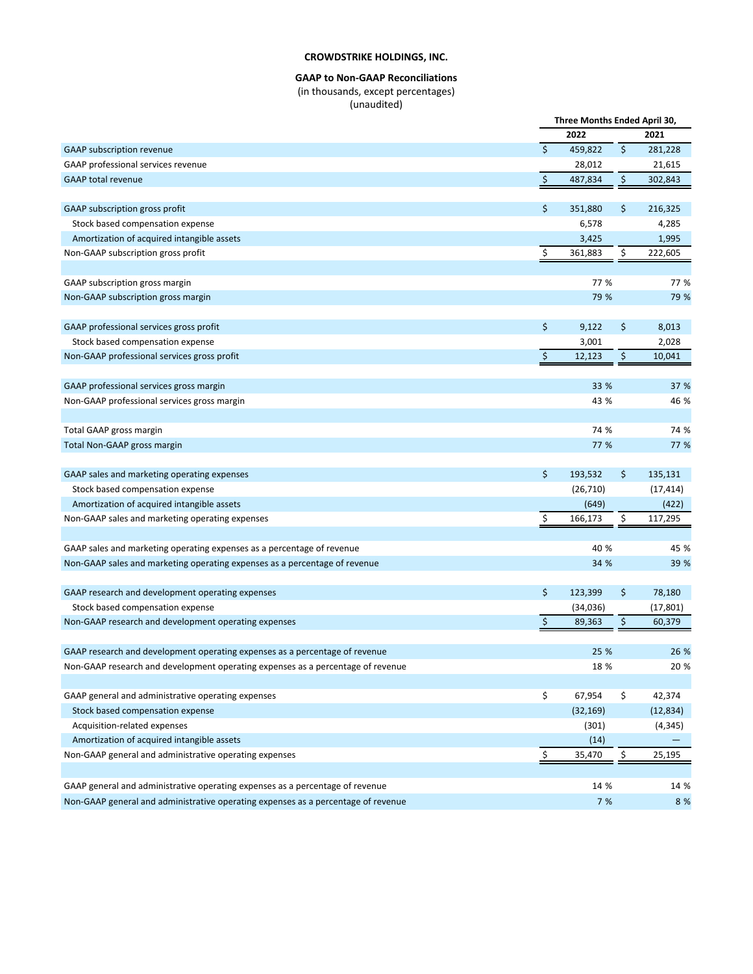### **GAAP to Non-GAAP Reconciliations** (in thousands, except percentages)

(unaudited)

|                                                                                   |                    | Three Months Ended April 30, |                     |           |
|-----------------------------------------------------------------------------------|--------------------|------------------------------|---------------------|-----------|
|                                                                                   |                    | 2022                         |                     | 2021      |
| GAAP subscription revenue                                                         | $\dot{\mathsf{S}}$ | 459,822                      | \$                  | 281,228   |
| GAAP professional services revenue                                                |                    | 28,012                       |                     | 21,615    |
| <b>GAAP</b> total revenue                                                         | $\zeta$            | 487,834                      | \$                  | 302,843   |
|                                                                                   |                    |                              |                     |           |
| GAAP subscription gross profit                                                    | \$                 | 351,880                      | \$                  | 216,325   |
| Stock based compensation expense                                                  |                    | 6,578                        |                     | 4,285     |
| Amortization of acquired intangible assets                                        |                    | 3,425                        |                     | 1,995     |
| Non-GAAP subscription gross profit                                                | \$                 | 361,883                      | \$                  | 222,605   |
|                                                                                   |                    |                              |                     |           |
| GAAP subscription gross margin                                                    |                    | 77 %                         |                     | 77 %      |
| Non-GAAP subscription gross margin                                                |                    | 79 %                         |                     | 79 %      |
|                                                                                   |                    |                              |                     |           |
| GAAP professional services gross profit                                           | \$                 | 9,122                        | \$                  | 8,013     |
| Stock based compensation expense                                                  |                    | 3,001                        |                     | 2,028     |
| Non-GAAP professional services gross profit                                       | $\zeta$            | 12,123                       | $\ddot{\mathsf{S}}$ | 10,041    |
|                                                                                   |                    |                              |                     |           |
| GAAP professional services gross margin                                           |                    | 33 %                         |                     | 37 %      |
| Non-GAAP professional services gross margin                                       |                    | 43 %                         |                     | 46 %      |
|                                                                                   |                    |                              |                     |           |
| Total GAAP gross margin                                                           |                    | 74 %                         |                     | 74 %      |
| Total Non-GAAP gross margin                                                       |                    | 77 %                         |                     | 77 %      |
|                                                                                   |                    |                              |                     |           |
| GAAP sales and marketing operating expenses                                       | \$                 | 193,532                      | \$                  | 135,131   |
| Stock based compensation expense                                                  |                    | (26, 710)                    |                     | (17, 414) |
| Amortization of acquired intangible assets                                        |                    | (649)                        |                     | (422)     |
| Non-GAAP sales and marketing operating expenses                                   | \$                 | 166,173                      | \$                  | 117,295   |
|                                                                                   |                    |                              |                     |           |
| GAAP sales and marketing operating expenses as a percentage of revenue            |                    | 40 %                         |                     | 45 %      |
| Non-GAAP sales and marketing operating expenses as a percentage of revenue        |                    | 34 %                         |                     | 39 %      |
|                                                                                   |                    |                              |                     |           |
| GAAP research and development operating expenses                                  | \$                 | 123,399                      | \$                  | 78,180    |
| Stock based compensation expense                                                  |                    | (34, 036)                    |                     | (17, 801) |
| Non-GAAP research and development operating expenses                              | \$                 | 89,363                       | \$                  | 60,379    |
|                                                                                   |                    |                              |                     |           |
| GAAP research and development operating expenses as a percentage of revenue       |                    | 25 %                         |                     | 26 %      |
| Non-GAAP research and development operating expenses as a percentage of revenue   |                    | 18 %                         |                     | 20 %      |
|                                                                                   |                    |                              |                     |           |
| GAAP general and administrative operating expenses                                | \$                 | 67,954                       | \$                  | 42,374    |
| Stock based compensation expense                                                  |                    | (32, 169)                    |                     | (12, 834) |
| Acquisition-related expenses                                                      |                    | (301)                        |                     | (4, 345)  |
| Amortization of acquired intangible assets                                        |                    | (14)                         |                     |           |
| Non-GAAP general and administrative operating expenses                            | \$                 | 35,470                       | \$                  | 25,195    |
|                                                                                   |                    |                              |                     |           |
| GAAP general and administrative operating expenses as a percentage of revenue     |                    | 14 %                         |                     | 14 %      |
| Non-GAAP general and administrative operating expenses as a percentage of revenue |                    | 7 %                          |                     | 8 %       |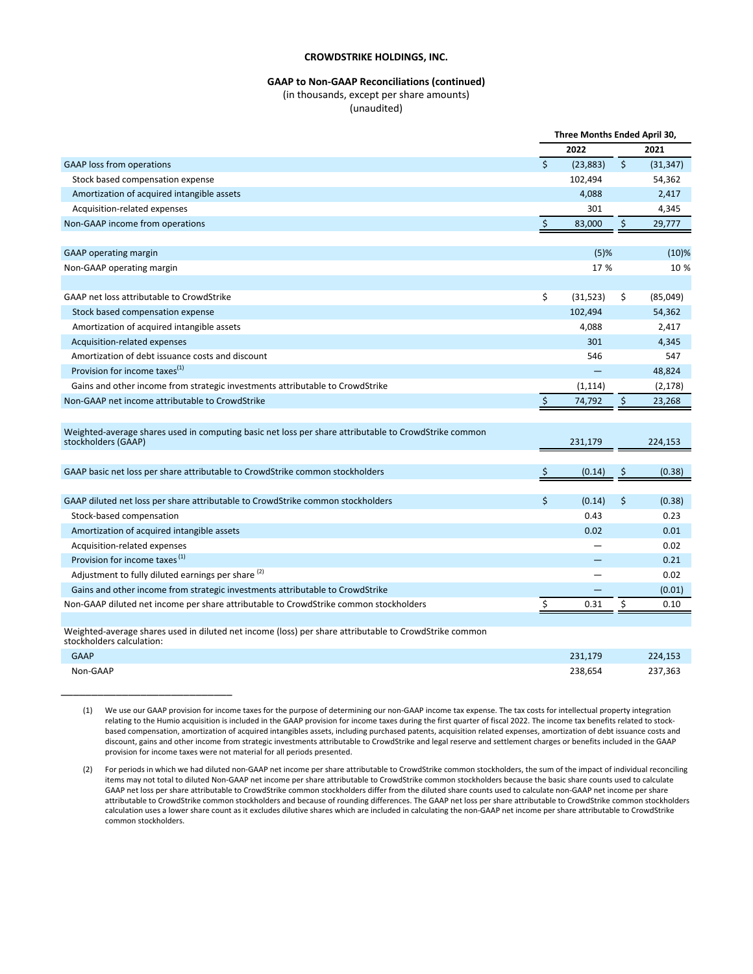#### **GAAP** to Non-GAAP Reconciliations (continued)

(in thousands, except per share amounts)

(unaudited)

|                                                                                                                                     |              | Three Months Ended April 30, |              |           |
|-------------------------------------------------------------------------------------------------------------------------------------|--------------|------------------------------|--------------|-----------|
|                                                                                                                                     |              | 2022                         |              | 2021      |
| <b>GAAP</b> loss from operations                                                                                                    | $\mathsf{S}$ | (23, 883)                    | $\mathsf{S}$ | (31, 347) |
| Stock based compensation expense                                                                                                    |              | 102,494                      |              | 54,362    |
| Amortization of acquired intangible assets                                                                                          |              | 4,088                        |              | 2,417     |
| Acquisition-related expenses                                                                                                        |              | 301                          |              | 4,345     |
| Non-GAAP income from operations                                                                                                     | $\zeta$      | 83,000                       | $\zeta$      | 29,777    |
|                                                                                                                                     |              |                              |              |           |
| <b>GAAP</b> operating margin                                                                                                        | $(5)$ %      |                              | $(10)$ %     |           |
| Non-GAAP operating margin                                                                                                           |              |                              | 17 %         |           |
|                                                                                                                                     |              |                              |              |           |
| GAAP net loss attributable to CrowdStrike                                                                                           | \$           | (31,523)                     | \$           | (85,049)  |
| Stock based compensation expense                                                                                                    |              | 102,494                      |              | 54,362    |
| Amortization of acquired intangible assets                                                                                          |              | 4,088                        |              | 2,417     |
| Acquisition-related expenses                                                                                                        |              | 301                          |              | 4,345     |
| Amortization of debt issuance costs and discount                                                                                    |              | 546                          |              | 547       |
| Provision for income taxes <sup>(1)</sup>                                                                                           |              |                              |              | 48,824    |
| Gains and other income from strategic investments attributable to CrowdStrike                                                       |              | (1, 114)                     |              | (2, 178)  |
| Non-GAAP net income attributable to CrowdStrike                                                                                     | $\zeta$      | 74,792                       | $\zeta$      | 23,268    |
|                                                                                                                                     |              |                              |              |           |
| Weighted-average shares used in computing basic net loss per share attributable to CrowdStrike common                               |              |                              |              |           |
| stockholders (GAAP)                                                                                                                 |              | 231,179                      |              | 224,153   |
|                                                                                                                                     |              |                              |              |           |
| GAAP basic net loss per share attributable to CrowdStrike common stockholders                                                       |              | (0.14)                       | \$           | (0.38)    |
|                                                                                                                                     |              |                              |              |           |
| GAAP diluted net loss per share attributable to CrowdStrike common stockholders                                                     | \$           | (0.14)                       | \$           | (0.38)    |
| Stock-based compensation                                                                                                            |              | 0.43                         |              | 0.23      |
| Amortization of acquired intangible assets                                                                                          |              | 0.02                         |              | 0.01      |
| Acquisition-related expenses                                                                                                        |              |                              |              | 0.02      |
| Provision for income taxes <sup>(1)</sup>                                                                                           |              |                              |              | 0.21      |
| Adjustment to fully diluted earnings per share <sup>(2)</sup>                                                                       |              |                              |              | 0.02      |
| Gains and other income from strategic investments attributable to CrowdStrike                                                       |              |                              |              | (0.01)    |
| Non-GAAP diluted net income per share attributable to CrowdStrike common stockholders                                               |              | 0.31                         | \$           | 0.10      |
|                                                                                                                                     |              |                              |              |           |
| Weighted-average shares used in diluted net income (loss) per share attributable to CrowdStrike common<br>stockholders calculation: |              |                              |              |           |
| $C^{\text{A}}$                                                                                                                      |              | <b>221170</b>                |              | $224.152$ |

| <b>GAAP</b> | 231.179 | 224,153 |
|-------------|---------|---------|
| Non-GAAP    | 238,654 | 237,363 |

 $\overline{\phantom{a}}$  , and the set of the set of the set of the set of the set of the set of the set of the set of the set of the set of the set of the set of the set of the set of the set of the set of the set of the set of the s

<sup>(1)</sup> We use our GAAP provision for income taxes for the purpose of determining our non-GAAP income tax expense. The tax costs for intellectual property integration relating to the Humio acquisition is included in the GAAP provision for income taxes during the first quarter of fiscal 2022. The income tax benefits related to stockbased compensation, amortization of acquired intangibles assets, including purchased patents, acquisition related expenses, amortization of debt issuance costs and discount, gains and other income from strategic investments attributable to CrowdStrike and legal reserve and settlement charges or benefits included in the GAAP provision for income taxes were not material for all periods presented.

<sup>(2)</sup> For periods in which we had diluted non-GAAP net income per share attributable to CrowdStrike common stockholders, the sum of the impact of individual reconciling items may not total to diluted Non-GAAP net income per share attributable to CrowdStrike common stockholders because the basic share counts used to calculate GAAP net loss per share attributable to CrowdStrike common stockholders differ from the diluted share counts used to calculate non-GAAP net income per share attributable to CrowdStrike common stockholders and because of rounding differences. The GAAP net loss per share attributable to CrowdStrike common stockholders calculation uses a lower share count as it excludes dilutive shares which are included in calculating the non-GAAP net income per share attributable to CrowdStrike common stockholders.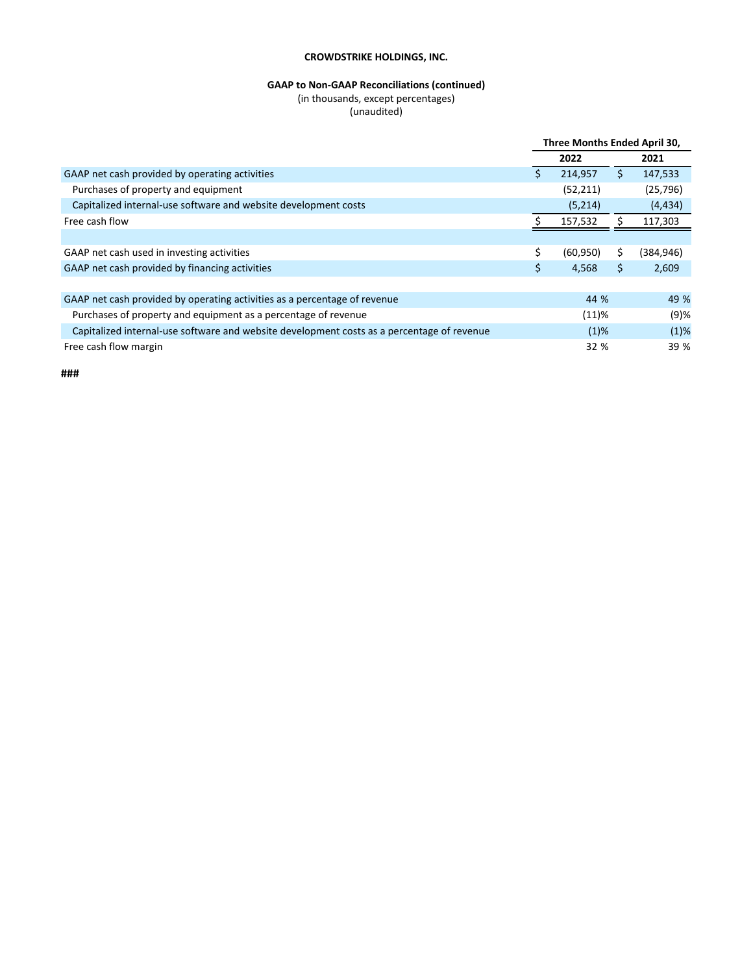# **GAAP** to Non-GAAP Reconciliations (continued)

(in thousands, except percentages)

(unaudited)

|                                                                                            | Three Months Ended April 30, |           |    |            |
|--------------------------------------------------------------------------------------------|------------------------------|-----------|----|------------|
|                                                                                            |                              | 2022      |    | 2021       |
| GAAP net cash provided by operating activities                                             | S                            | 214,957   | \$ | 147,533    |
| Purchases of property and equipment                                                        |                              | (52, 211) |    | (25, 796)  |
| Capitalized internal-use software and website development costs                            |                              | (5,214)   |    | (4, 434)   |
| Free cash flow                                                                             |                              | 157,532   |    | 117,303    |
|                                                                                            |                              |           |    |            |
| GAAP net cash used in investing activities                                                 | \$                           | (60, 950) | \$ | (384, 946) |
| GAAP net cash provided by financing activities                                             | \$                           | 4,568     | \$ | 2,609      |
|                                                                                            |                              |           |    |            |
| GAAP net cash provided by operating activities as a percentage of revenue                  |                              | 44 %      |    | 49 %       |
| Purchases of property and equipment as a percentage of revenue                             |                              | (11)%     |    | $(9)$ %    |
| Capitalized internal-use software and website development costs as a percentage of revenue |                              | $(1)$ %   |    | $(1)$ %    |
| Free cash flow margin                                                                      |                              | 32 %      |    | 39 %       |

**###**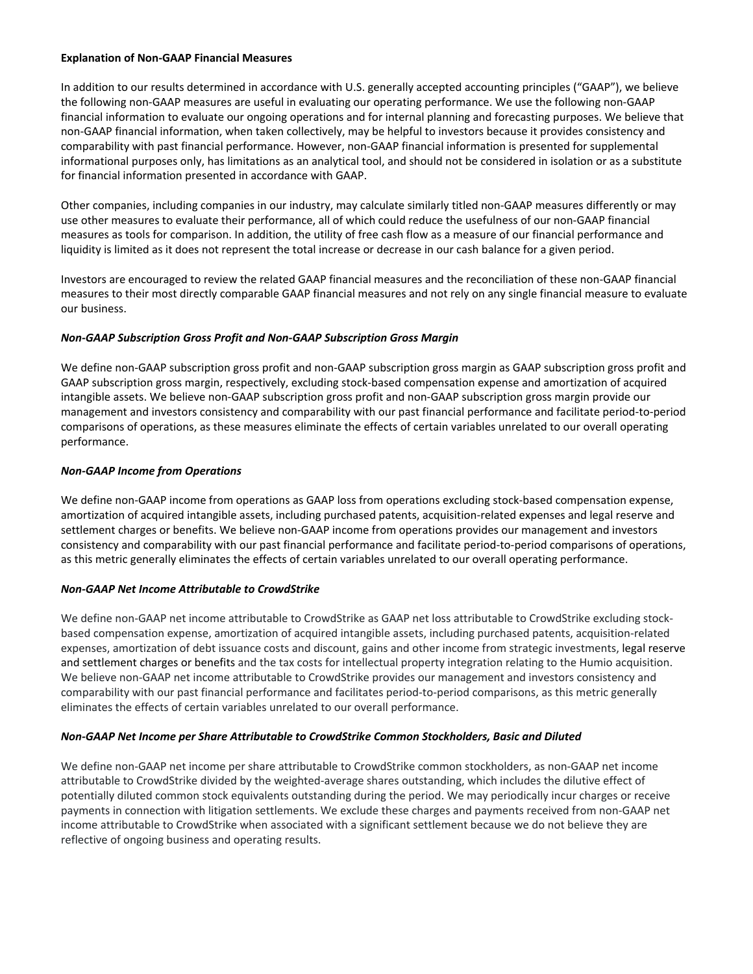### **Explanation of Non-GAAP Financial Measures**

In addition to our results determined in accordance with U.S. generally accepted accounting principles ("GAAP"), we believe the following non-GAAP measures are useful in evaluating our operating performance. We use the following non-GAAP financial information to evaluate our ongoing operations and for internal planning and forecasting purposes. We believe that non-GAAP financial information, when taken collectively, may be helpful to investors because it provides consistency and comparability with past financial performance. However, non-GAAP financial information is presented for supplemental informational purposes only, has limitations as an analytical tool, and should not be considered in isolation or as a substitute for financial information presented in accordance with GAAP.

Other companies, including companies in our industry, may calculate similarly titled non-GAAP measures differently or may use other measures to evaluate their performance, all of which could reduce the usefulness of our non-GAAP financial measures as tools for comparison. In addition, the utility of free cash flow as a measure of our financial performance and liquidity is limited as it does not represent the total increase or decrease in our cash balance for a given period.

Investors are encouraged to review the related GAAP financial measures and the reconciliation of these non-GAAP financial measures to their most directly comparable GAAP financial measures and not rely on any single financial measure to evaluate our business.

### **Non-GAAP Subscription Gross Profit and Non-GAAP Subscription Gross Margin**

We define non-GAAP subscription gross profit and non-GAAP subscription gross margin as GAAP subscription gross profit and GAAP subscription gross margin, respectively, excluding stock-based compensation expense and amortization of acquired intangible assets. We believe non-GAAP subscription gross profit and non-GAAP subscription gross margin provide our management and investors consistency and comparability with our past financial performance and facilitate period-to-period comparisons of operations, as these measures eliminate the effects of certain variables unrelated to our overall operating performance.

### *Non-GAAP Income from Operations*

We define non-GAAP income from operations as GAAP loss from operations excluding stock-based compensation expense, amortization of acquired intangible assets, including purchased patents, acquisition-related expenses and legal reserve and settlement charges or benefits. We believe non-GAAP income from operations provides our management and investors consistency and comparability with our past financial performance and facilitate period-to-period comparisons of operations, as this metric generally eliminates the effects of certain variables unrelated to our overall operating performance.

### **Non-GAAP Net Income Attributable to CrowdStrike**

We define non-GAAP net income attributable to CrowdStrike as GAAP net loss attributable to CrowdStrike excluding stockbased compensation expense, amortization of acquired intangible assets, including purchased patents, acquisition-related expenses, amortization of debt issuance costs and discount, gains and other income from strategic investments, legal reserve and settlement charges or benefits and the tax costs for intellectual property integration relating to the Humio acquisition. We believe non-GAAP net income attributable to CrowdStrike provides our management and investors consistency and comparability with our past financial performance and facilitates period-to-period comparisons, as this metric generally eliminates the effects of certain variables unrelated to our overall performance.

### **Non-GAAP** Net Income per Share Attributable to CrowdStrike Common Stockholders, Basic and Diluted

We define non-GAAP net income per share attributable to CrowdStrike common stockholders, as non-GAAP net income attributable to CrowdStrike divided by the weighted-average shares outstanding, which includes the dilutive effect of potentially diluted common stock equivalents outstanding during the period. We may periodically incur charges or receive payments in connection with litigation settlements. We exclude these charges and payments received from non-GAAP net income attributable to CrowdStrike when associated with a significant settlement because we do not believe they are reflective of ongoing business and operating results.